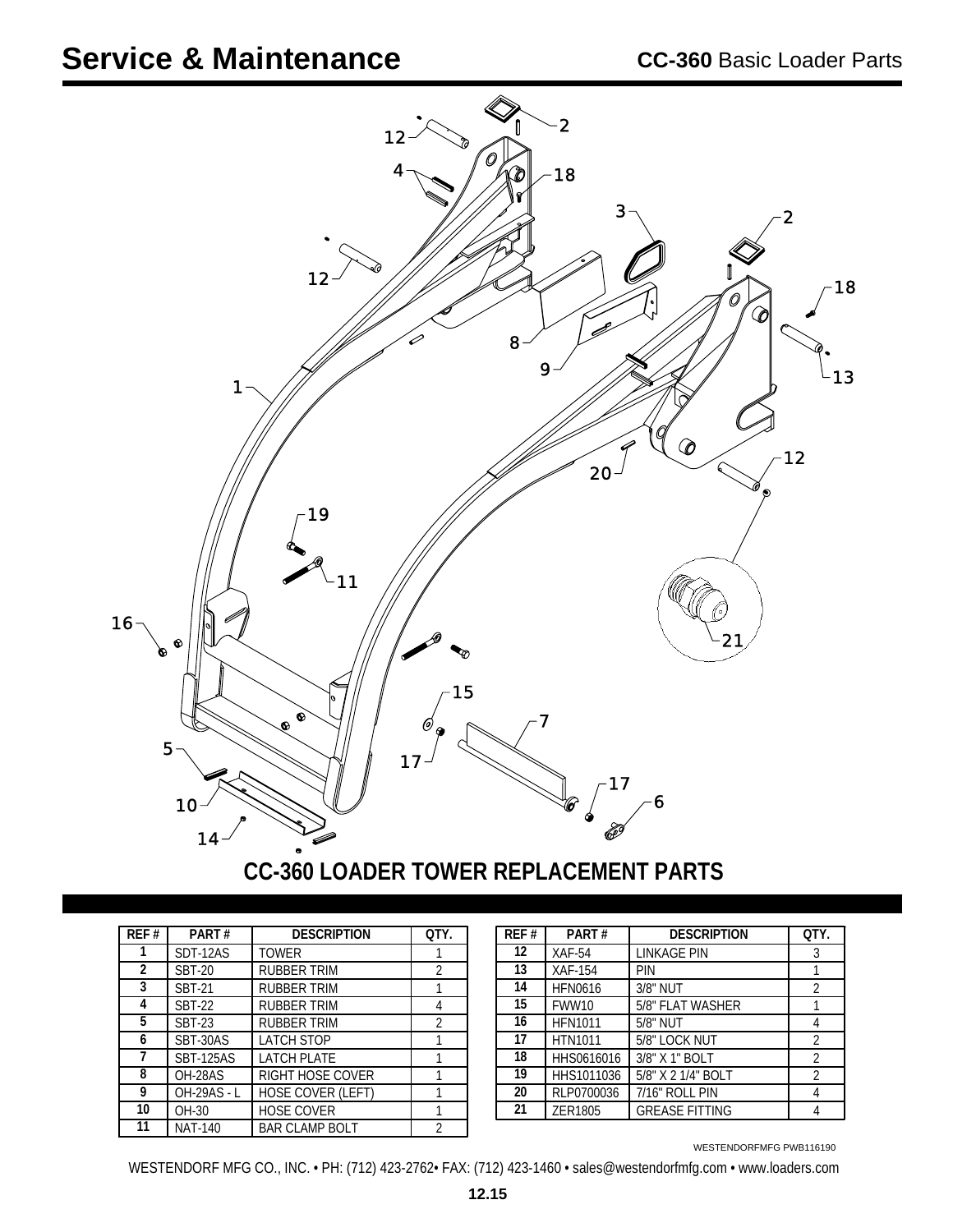## **Service & Maintenance**



## **CC-360 LOADER TOWER REPLACEMENT PARTS**

| REF# | PART#              | <b>DESCRIPTION</b>      | OTY.           |
|------|--------------------|-------------------------|----------------|
|      | SDT-12AS           | <b>TOWER</b>            |                |
| 2    | <b>SBT-20</b>      | <b>RUBBER TRIM</b>      | 2              |
| 3    | <b>SBT-21</b>      | RUBBER TRIM             |                |
| 4    | <b>SBT-22</b>      | <b>RUBBER TRIM</b>      |                |
| 5    | <b>SBT-23</b>      | RUBBER TRIM             | $\overline{2}$ |
| 6    | SBT-30AS           | <b>LATCH STOP</b>       |                |
| 7    | <b>SBT-125AS</b>   | <b>LATCH PLATE</b>      |                |
| 8    | OH-28AS            | <b>RIGHT HOSE COVER</b> |                |
| 9    | <b>OH-29AS - L</b> | HOSE COVER (LEFT)       |                |
| 10   | OH-30              | <b>HOSE COVER</b>       |                |
| 11   | <b>NAT-140</b>     | <b>BAR CLAMP BOLT</b>   | 2              |

| REF # | PART#              | <b>DESCRIPTION</b>      | QTY. | REF# | PART#          | <b>DESCRIPTION</b>    | QTY. |
|-------|--------------------|-------------------------|------|------|----------------|-----------------------|------|
|       | SDT-12AS           | <b>TOWER</b>            |      | 12   | $XAF-54$       | LINKAGE PIN           |      |
| 2     | <b>SBT-20</b>      | <b>RUBBER TRIM</b>      |      | 13   | <b>XAF-154</b> | <b>PIN</b>            |      |
| 3     | <b>SBT-21</b>      | <b>RUBBER TRIM</b>      |      | 14   | <b>HFN0616</b> | 3/8" NUT              |      |
| 4     | <b>SBT-22</b>      | <b>RUBBER TRIM</b>      |      | 15   | FWW10          | 5/8" FLAT WASHER      |      |
| 5     | <b>SBT-23</b>      | <b>RUBBER TRIM</b>      |      | 16   | <b>HFN1011</b> | 5/8" NUT              |      |
| h     | SBT-30AS           | <b>LATCH STOP</b>       |      | 17   | <b>HTN1011</b> | 5/8" LOCK NUT         |      |
|       | <b>SBT-125AS</b>   | <b>LATCH PLATE</b>      |      | 18   | HHS0616016     | 3/8" X 1" BOLT        |      |
| 8     | OH-28AS            | <b>RIGHT HOSE COVER</b> |      | 19   | HHS1011036     | 5/8" X 2 1/4" BOLT    |      |
| 9     | <b>OH-29AS - L</b> | HOSE COVER (LEFT)       |      | 20   | RLP0700036     | 7/16" ROLL PIN        |      |
| 10    | OH-30              | <b>HOSE COVER</b>       |      | 21   | ZER1805        | <b>GREASE FITTING</b> |      |
|       |                    |                         |      |      |                |                       |      |

WESTENDORFMFG PWB116190

WESTENDORF MFG CO., INC. • PH: (712) 423-2762• FAX: (712) 423-1460 • sales@westendorfmfg.com • www.loaders.com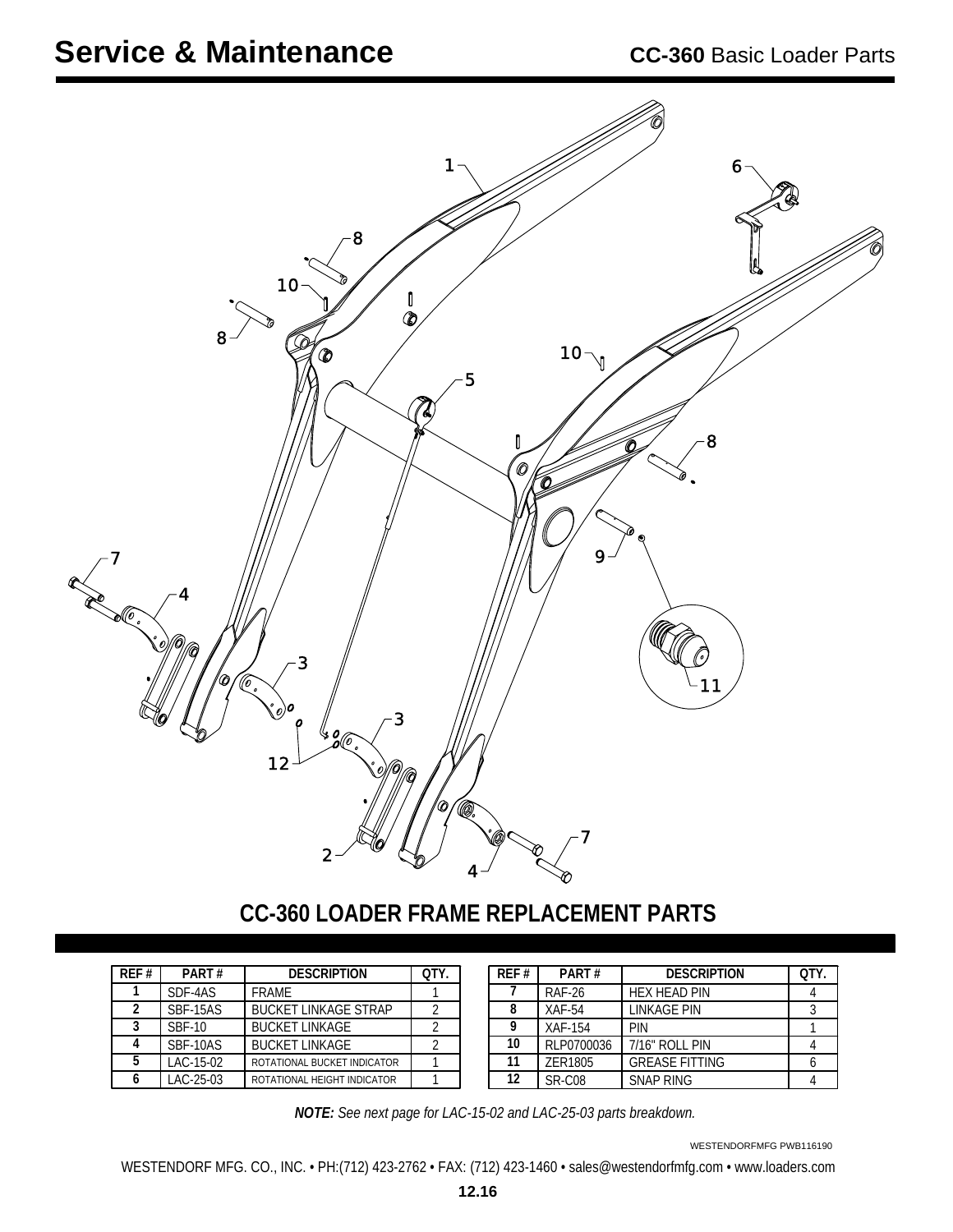

## **CC-360 LOADER FRAME REPLACEMENT PARTS**

| REF# | PART#         | <b>DESCRIPTION</b>          | OTY. |
|------|---------------|-----------------------------|------|
|      | SDF-4AS       | <b>FRAMF</b>                |      |
| 2    | SBF-15AS      | <b>BUCKET LINKAGE STRAP</b> |      |
| ς    | <b>SBF-10</b> | <b>BUCKET LINKAGE</b>       |      |
|      | SBF-10AS      | <b>BUCKET LINKAGE</b>       |      |
| 5    | LAC-15-02     | ROTATIONAL BUCKET INDICATOR |      |
|      | LAC-25-03     | ROTATIONAL HEIGHT INDICATOR |      |

| RFF# | PART#         | <b>DESCRIPTION</b>    | OTY. |
|------|---------------|-----------------------|------|
|      | <b>RAF-26</b> | <b>HEX HEAD PIN</b>   |      |
| 8    | $XAF-54$      | LINKAGE PIN           |      |
| Q    | XAF-154       | PIN                   |      |
| 10   | RLP0700036    | 7/16" ROLL PIN        |      |
| 11   | ZER1805       | <b>GREASE FITTING</b> |      |
| 12   | SR-C08        | <b>SNAP RING</b>      |      |

*NOTE: See next page for LAC-15-02 and LAC-25-03 parts breakdown.*

WESTENDORFMFG PWB116190

WESTENDORF MFG. CO., INC. • PH:(712) 423-2762 • FAX: (712) 423-1460 • sales@westendorfmfg.com • www.loaders.com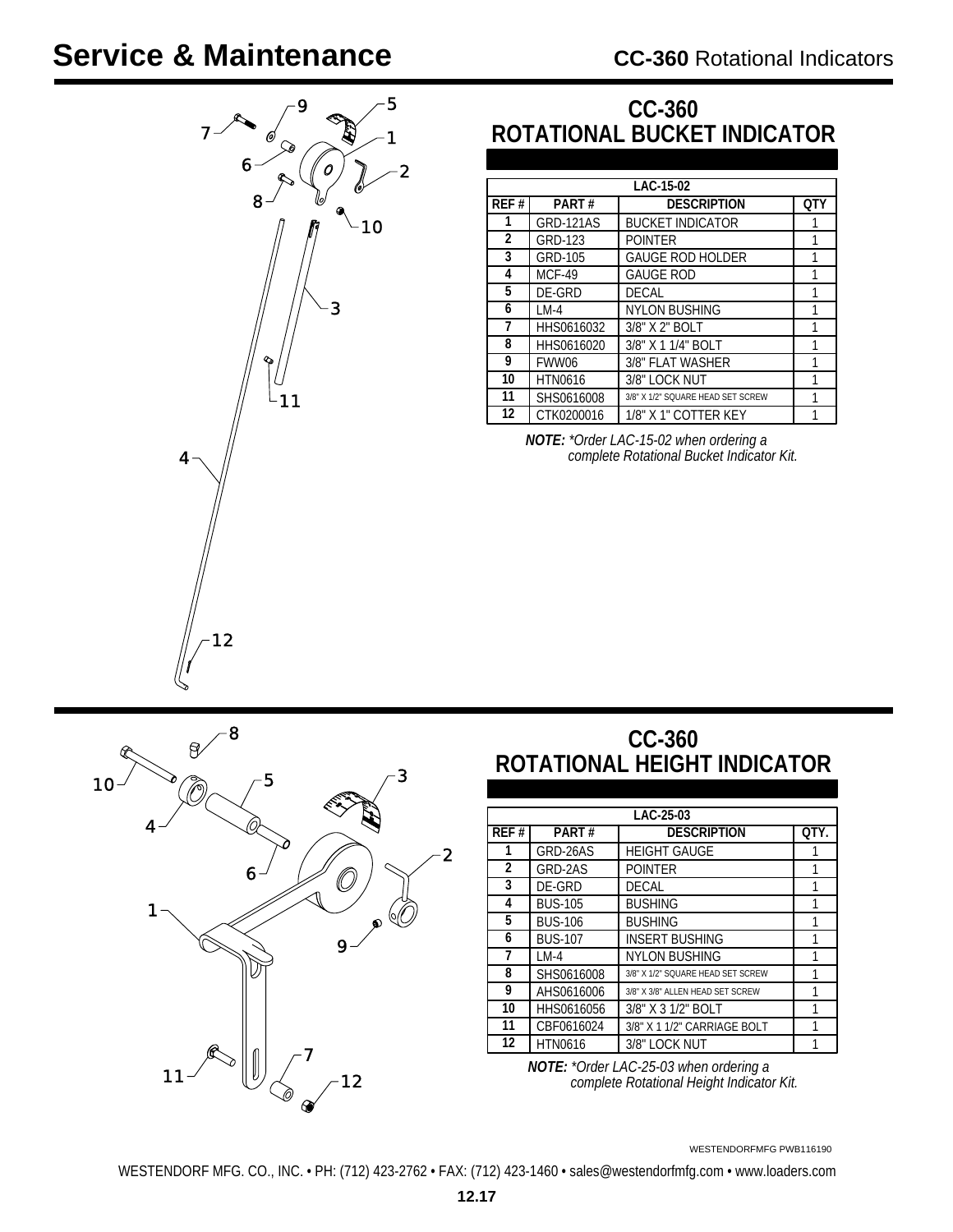## **Service & Maintenance**



### **CC-360 ROTATIONAL BUCKET INDICATOR**

|      | LAC-15-02      |                                   |     |  |  |
|------|----------------|-----------------------------------|-----|--|--|
| REF# | PART#          | <b>DESCRIPTION</b>                | OTY |  |  |
| 1    | GRD-121AS      | <b>BUCKET INDICATOR</b>           |     |  |  |
| 2    | GRD-123        | <b>POINTER</b>                    |     |  |  |
| 3    | GRD-105        | <b>GAUGE ROD HOLDER</b>           | 1   |  |  |
| 4    | <b>MCF-49</b>  | <b>GAUGE ROD</b>                  |     |  |  |
| 5    | DE-GRD         | <b>DECAL</b>                      |     |  |  |
| 6    | $LM-4$         | <b>NYLON BUSHING</b>              | 1   |  |  |
| 7    | HHS0616032     | 3/8" X 2" BOLT                    | 1   |  |  |
| 8    | HHS0616020     | 3/8" X 1 1/4" BOLT                | 1   |  |  |
| 9    | FWW06          | 3/8" FLAT WASHER                  | 1   |  |  |
| 10   | <b>HTN0616</b> | 3/8" LOCK NUT                     | 1   |  |  |
| 11   | SHS0616008     | 3/8" X 1/2" SQUARE HEAD SET SCREW | 1   |  |  |
| 12   | CTK0200016     | 1/8" X 1" COTTER KEY              |     |  |  |

*NOTE: \*Order LAC-15-02 when ordering a complete Rotational Bucket Indicator Kit.*



### **CC-360 ROTATIONAL HEIGHT INDICATOR**

| LAC 25-03 |                |                                   |      |
|-----------|----------------|-----------------------------------|------|
| REF#      | PART#          | <b>DESCRIPTION</b>                | OTY. |
|           | GRD-26AS       | <b>HEIGHT GAUGE</b>               |      |
| 2         | GRD-2AS        | <b>POINTER</b>                    |      |
| 3         | DE-GRD         | DECAL                             |      |
| 4         | <b>BUS-105</b> | <b>BUSHING</b>                    |      |
| 5         | <b>BUS-106</b> | <b>BUSHING</b>                    |      |
| 6         | <b>BUS-107</b> | <b>INSERT BUSHING</b>             |      |
| 7         | $LM-4$         | <b>NYLON BUSHING</b>              | 1    |
| 8         | SHS0616008     | 3/8" X 1/2" SQUARE HEAD SET SCREW |      |
| 9         | AHS0616006     | 3/8" X 3/8" ALLEN HEAD SET SCREW  | 1    |
| 10        | HHS0616056     | 3/8" X 3 1/2" BOLT                |      |
| 11        | CBF0616024     | 3/8" X 1 1/2" CARRIAGE BOLT       |      |
| 12        | <b>HTN0616</b> | 3/8" LOCK NUT                     |      |

*NOTE: \*Order LAC-25-03 when ordering a complete Rotational Height Indicator Kit.*

WESTENDORFMFG PWB116190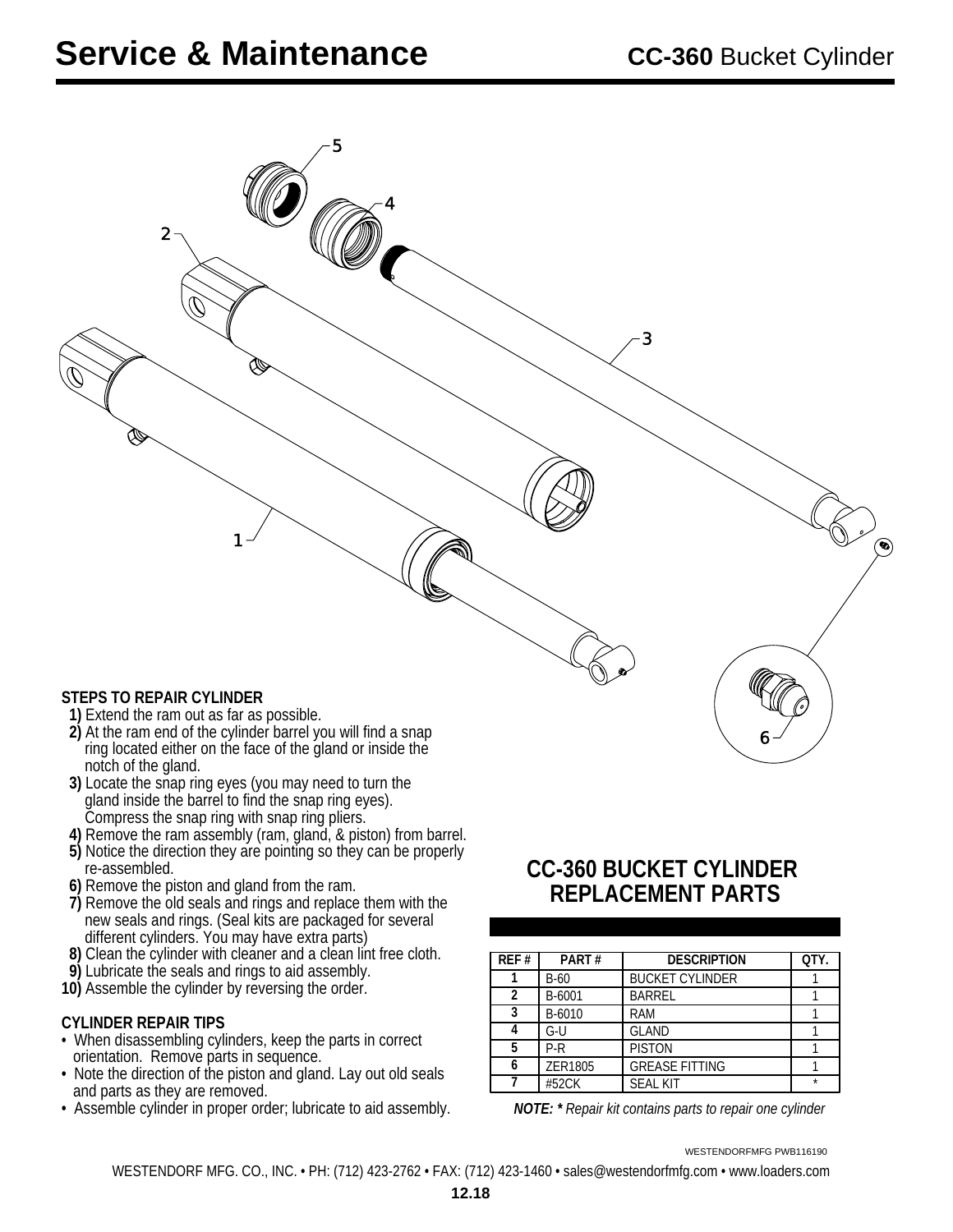| -5<br>$\mathbf 2$<br>$\mathcal{O}$<br>W<br>Ì                          | 3 |         |
|-----------------------------------------------------------------------|---|---------|
|                                                                       |   |         |
| 1                                                                     |   | $\odot$ |
|                                                                       |   |         |
|                                                                       |   |         |
| STEPS TO REPAIR CYLINDER<br>1) Extend the ram out as far as possible. |   |         |

- **2)** At the ram end of the cylinder barrel you will find a snap ring located either on the face of the gland or inside the notch of the gland.
- **3)** Locate the snap ring eyes (you may need to turn the gland inside the barrel to find the snap ring eyes). Compress the snap ring with snap ring pliers.
- **4)** Remove the ram assembly (ram, gland, & piston) from barrel.
- **5)** Notice the direction they are pointing so they can be properly re-assembled.
- **6)** Remove the piston and gland from the ram.
- **7)** Remove the old seals and rings and replace them with the new seals and rings. (Seal kits are packaged for several different cylinders. You may have extra parts)
- **8)** Clean the cylinder with cleaner and a clean lint free cloth.
- **9)** Lubricate the seals and rings to aid assembly.
- **10)** Assemble the cylinder by reversing the order.

#### **CYLINDER REPAIR TIPS**

- When disassembling cylinders, keep the parts in correct orientation. Remove parts in sequence.
- Note the direction of the piston and gland. Lay out old seals and parts as they are removed.
- Assemble cylinder in proper order; lubricate to aid assembly. *NOTE: \* Repair kit contains parts to repair one cylinder*

### **CC-360 BUCKET CYLINDER REPLACEMENT PARTS**

| REF # | PART#   | <b>DESCRIPTION</b>     | QTY. |
|-------|---------|------------------------|------|
|       | $B-60$  | <b>BUCKET CYLINDER</b> |      |
| 2     | B-6001  | <b>BARREL</b>          |      |
| 3     | B-6010  | RAM                    |      |
|       | G-U     | GLAND                  |      |
| 5     | P-R     | <b>PISTON</b>          |      |
|       | ZER1805 | <b>GREASE FITTING</b>  |      |
|       | #52CK   | <b>SEAL KIT</b>        |      |

WESTENDORFMFG PWB116190

 $6<sup>-/-</sup>$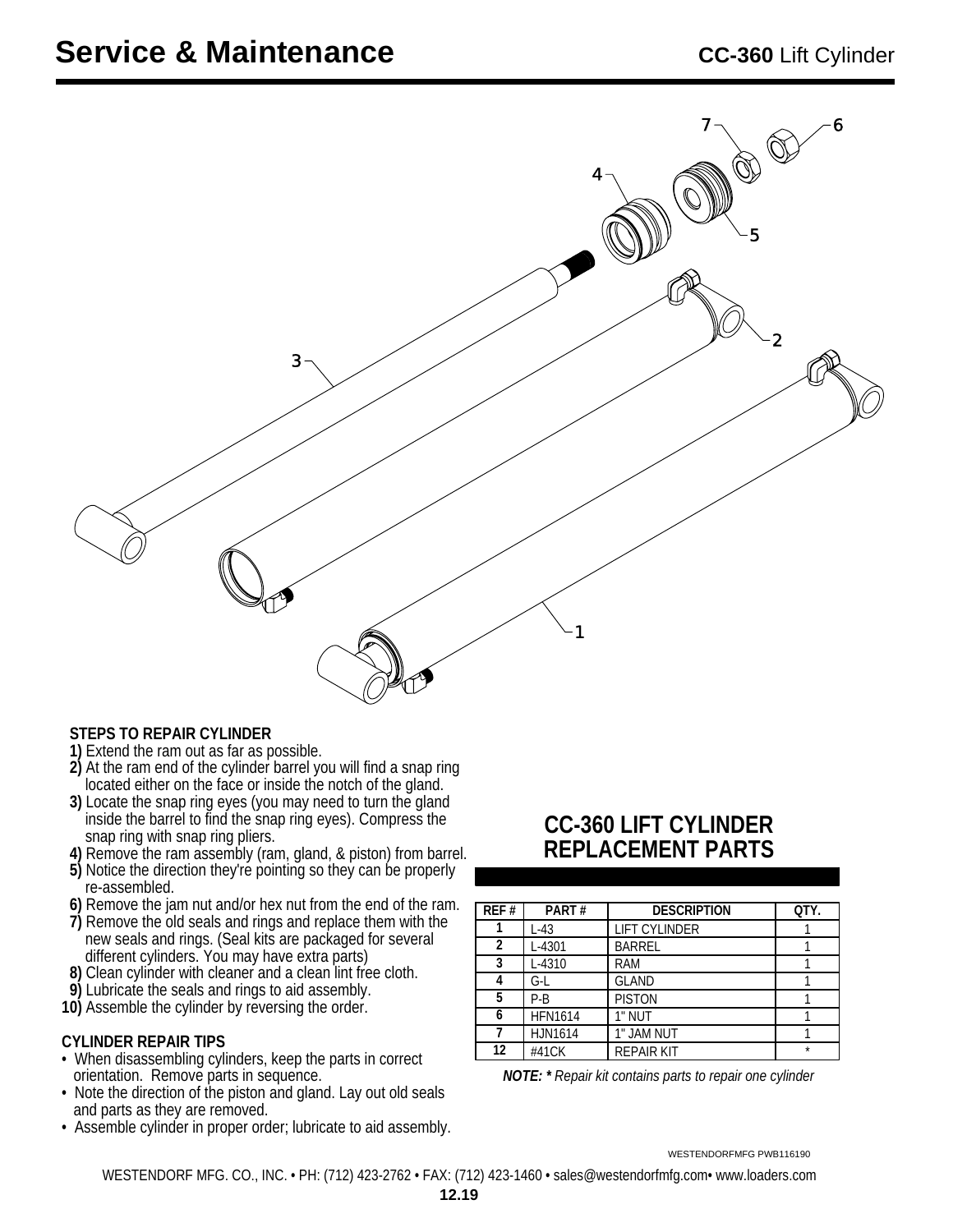

#### **STEPS TO REPAIR CYLINDER**

- **1)** Extend the ram out as far as possible.
- **2)** At the ram end of the cylinder barrel you will find a snap ring located either on the face or inside the notch of the gland.
- **3)** Locate the snap ring eyes (you may need to turn the gland inside the barrel to find the snap ring eyes). Compress the snap ring with snap ring pliers.
- **4)** Remove the ram assembly (ram, gland, & piston) from barrel.
- **5)** Notice the direction they're pointing so they can be properly re-assembled.
- **6)** Remove the jam nut and/or hex nut from the end of the ram.
- **7)** Remove the old seals and rings and replace them with the new seals and rings. (Seal kits are packaged for several different cylinders. You may have extra parts)
- **8)** Clean cylinder with cleaner and a clean lint free cloth.
- **9)** Lubricate the seals and rings to aid assembly.
- **10)** Assemble the cylinder by reversing the order.

#### **CYLINDER REPAIR TIPS**

- When disassembling cylinders, keep the parts in correct orientation. Remove parts in sequence.
- Note the direction of the piston and gland. Lay out old seals and parts as they are removed.
- Assemble cylinder in proper order; lubricate to aid assembly.

### **CC-360 LIFT CYLINDER REPLACEMENT PARTS**

| REF# | PART#          | <b>DESCRIPTION</b>   | QTY.    |
|------|----------------|----------------------|---------|
|      | $L-43$         | <b>LIFT CYLINDER</b> |         |
| 2    | L-4301         | <b>BARREL</b>        |         |
| 3    | L-4310         | <b>RAM</b>           |         |
| 4    | G-L            | <b>GLAND</b>         |         |
| 5    | $P-B$          | <b>PISTON</b>        |         |
| 6    | <b>HFN1614</b> | 1" NUT               |         |
|      | <b>HJN1614</b> | 1" JAM NUT           |         |
| 12   | #41CK          | <b>REPAIR KIT</b>    | $\star$ |

*NOTE: \* Repair kit contains parts to repair one cylinder*

WESTENDORFMFG PWB116190

WESTENDORF MFG. CO., INC. • PH: (712) 423-2762 • FAX: (712) 423-1460 • sales@westendorfmfg.com• www.loaders.com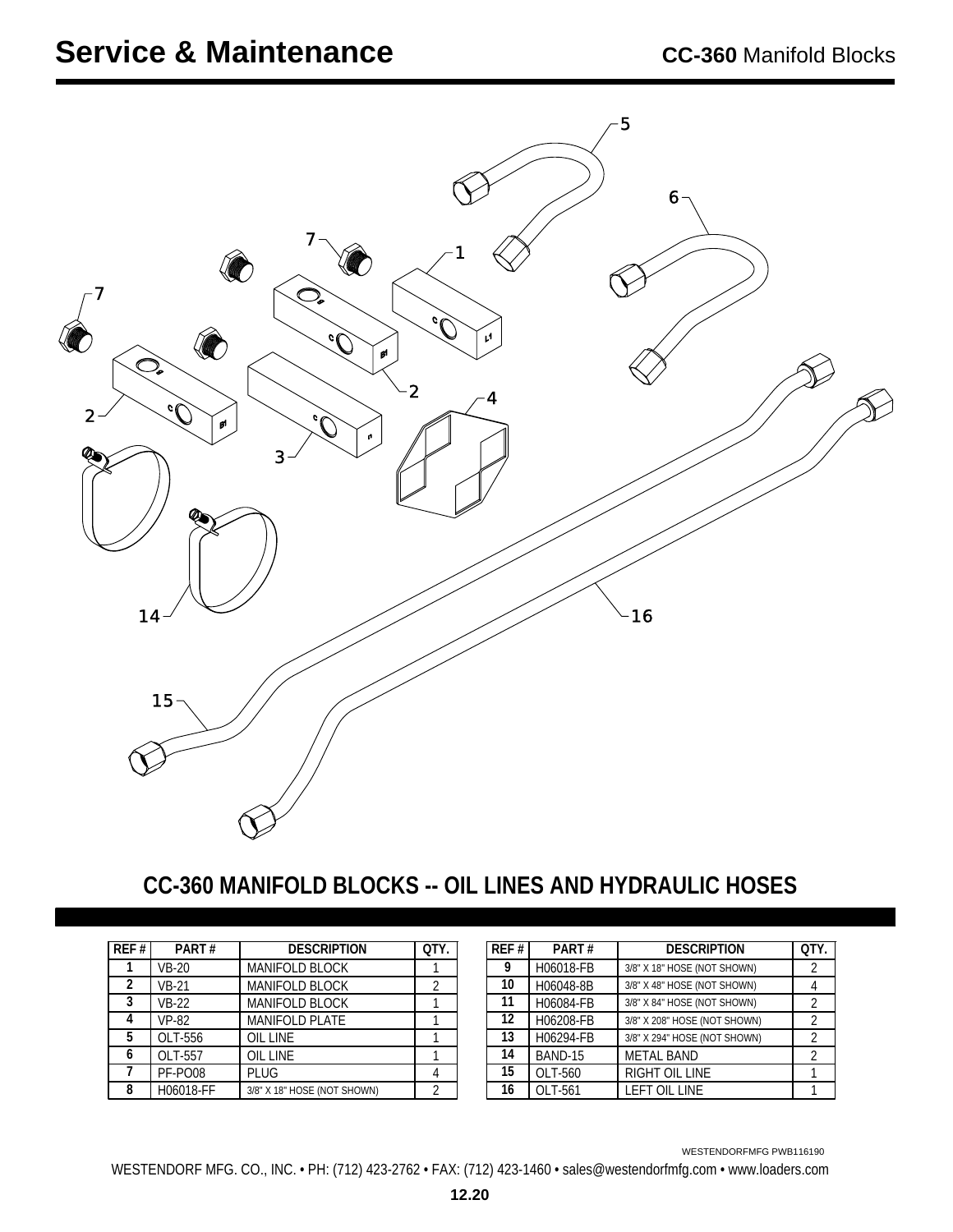

### **CC-360 MANIFOLD BLOCKS -- OIL LINES AND HYDRAULIC HOSES**

| REF#           | PART#        | <b>DESCRIPTION</b>          | <b>OTY</b>     |
|----------------|--------------|-----------------------------|----------------|
|                | $VB-20$      | <b>MANIFOLD BLOCK</b>       |                |
| $\mathfrak{p}$ | <b>VB-21</b> | <b>MANIFOLD BLOCK</b>       | $\mathfrak{D}$ |
| 3              | <b>VB-22</b> | <b>MANIFOLD BLOCK</b>       |                |
|                | <b>VP-82</b> | <b>MANIFOLD PLATE</b>       |                |
| 5              | OLT-556      | <b>OIL LINE</b>             |                |
| 6              | OLT-557      | <b>OIL LINE</b>             |                |
|                | PF-PO08      | PLUG                        |                |
| 8              | H06018-FF    | 3/8" X 18" HOSE (NOT SHOWN) |                |

| REF# | PART#     | <b>DESCRIPTION</b>           | OTY.           |
|------|-----------|------------------------------|----------------|
| 9    | H06018-FB | 3/8" X 18" HOSE (NOT SHOWN)  | 2              |
| 10   | H06048-8B | 3/8" X 48" HOSE (NOT SHOWN)  |                |
| 11   | H06084-FB | 3/8" X 84" HOSE (NOT SHOWN)  | 2              |
| 12   | H06208-FB | 3/8" X 208" HOSE (NOT SHOWN) | 2              |
| 13   | H06294-FB | 3/8" X 294" HOSE (NOT SHOWN) | 2              |
| 14   | BAND-15   | <b>METAL BAND</b>            | $\mathfrak{D}$ |
| 15   | OLT-560   | RIGHT OIL LINE               |                |
| 16   | OLT-561   | LEFT OIL LINE                |                |

WESTENDORFMFG PWB116190